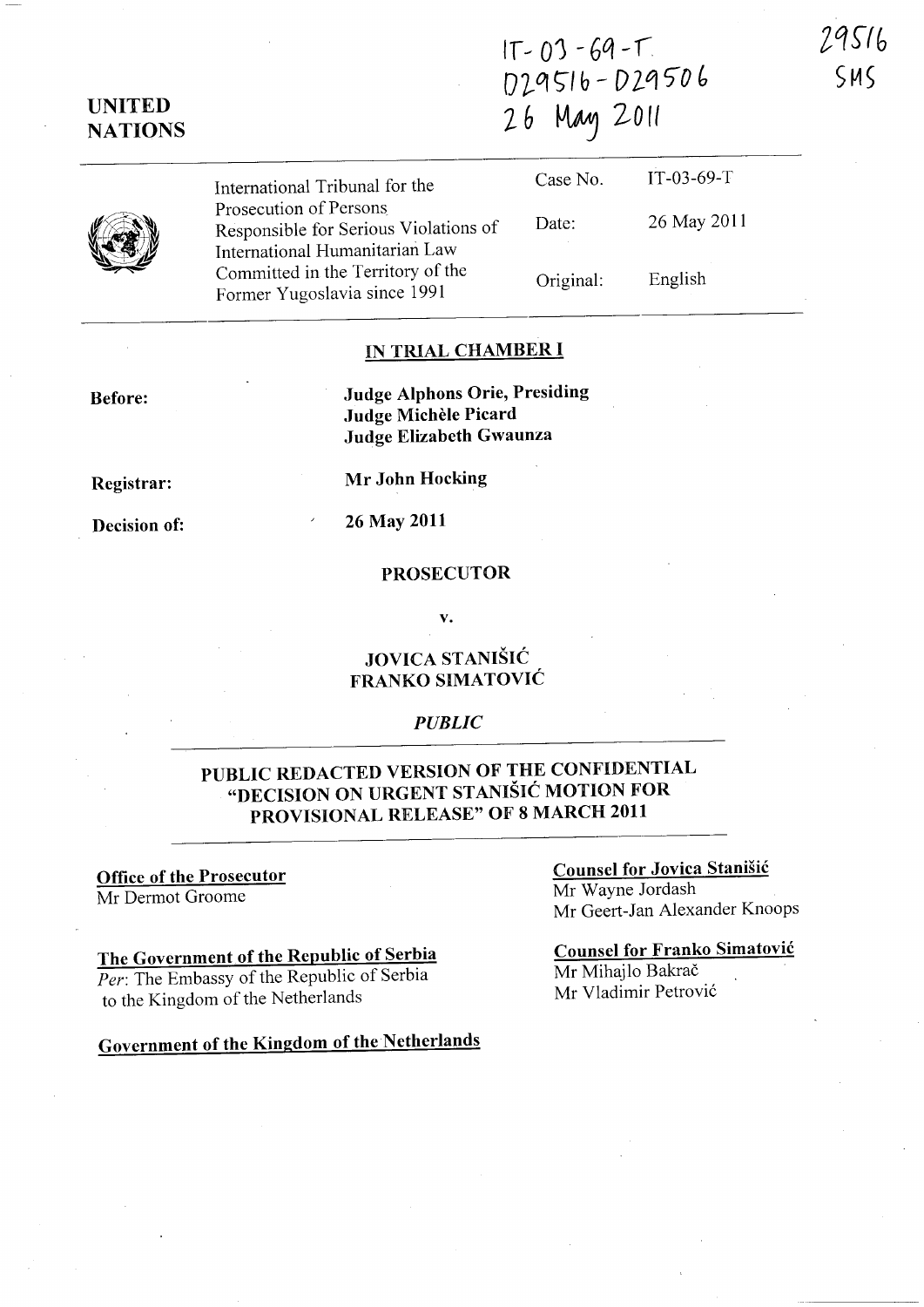$IT - 03 - 69 - T$ 029516-029506 26 May 2011

International Tribunal for the Prosecution of Persons Responsible for Serious Violations of International Humanitarian Law Committed in the Territory of the Former Yugoslavia since 1991 Case No. Date: Original: IT-03-69-T 26 May 2011 English

### IN TRIAL CHAMBER I

Judge Alphons Orie, Presiding Judge Michele Picard Judge Elizabeth Gwaunza

Registrar:

Before:

Decision of:

Mr John Hocking

26 May 2011

# PROSECUTOR

### JOVICA STANIŠIĆ FRANKO SIMATOVIC

#### *PUBLIC*

# PUBLIC REDACTED VERSION OF THE CONFIDENTIAL "DECISION ON URGENT STANISIC MOTION FOR PROVISIONAL RELEASE" OF 8 MARCH 2011

#### Office of the Prosecutor Mr Dermot Groome

# The Government of the Republic of Serbia

*Per:* The Embassy of the Republic of Serbia to the Kingdom of the Netherlands

Government of the Kingdom of the Netherlands

#### Counsel for Jovica Stanisic Mr Wayne Jordash Mr Geert-Jan Alexander Knoops

Counsel for Franko Simatovic Mr Mihajlo Bakrač Mr Vladimir Petrovic

## UNITED **NATIONS**



v.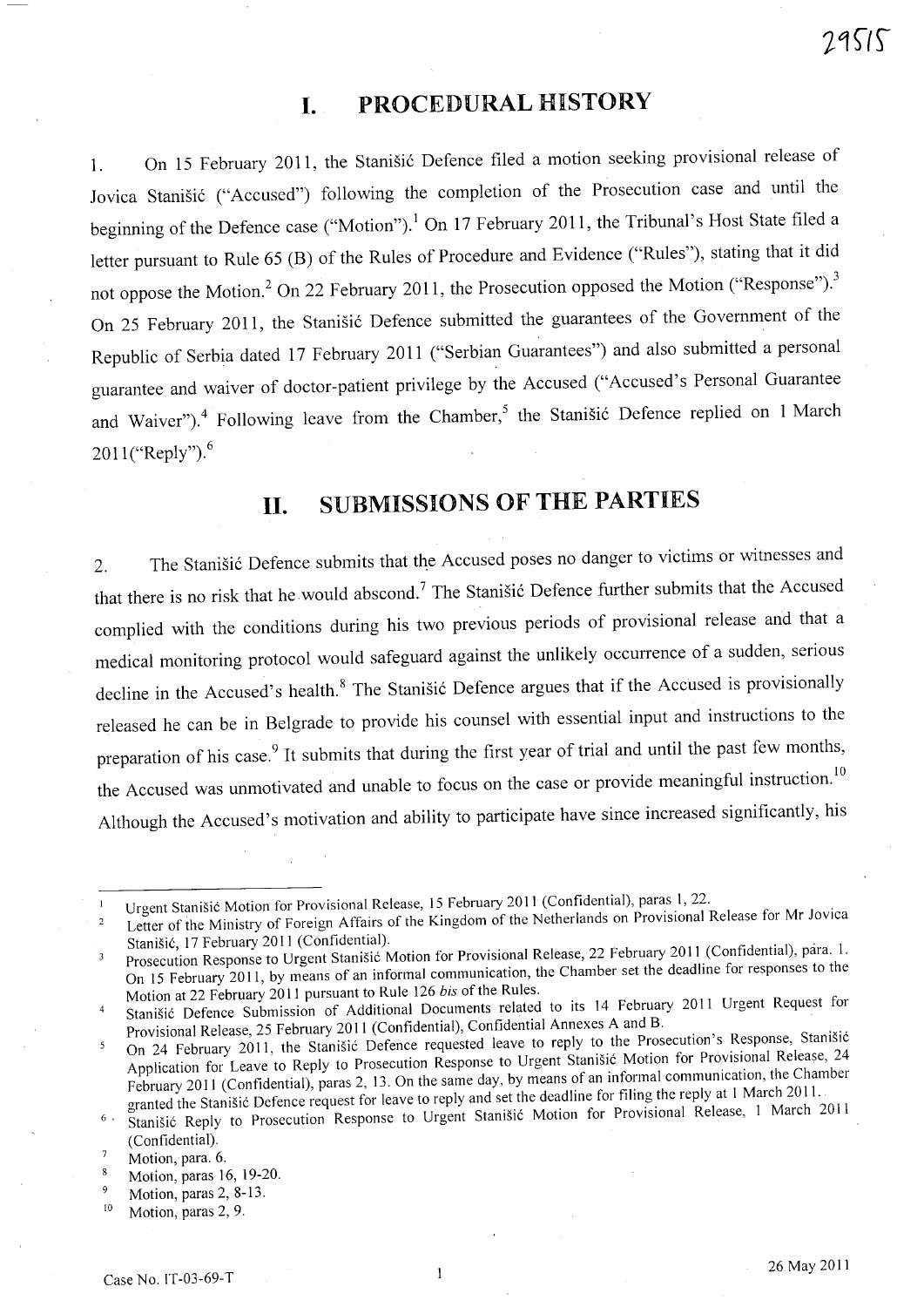# **I. PROCEDURAL HISTORY**

1. On 15 February 2011, the Stanišić Defence filed a motion seeking provisional release of Jovica Stanišić ("Accused") following the completion of the Prosecution case and until the beginning of the Defence case ("Motion").<sup>1</sup> On 17 February 2011, the Tribunal's Host State filed a letter pursuant to Rule 65 (B) of the Rules of Procedure and Evidence ("Rules"), stating that it did not oppose the Motion.<sup>2</sup> On 22 February 2011, the Prosecution opposed the Motion ("Response").<sup>3</sup> On 25 February 2011, the Stanišić Defence submitted the guarantees of the Government of the Republic of Serbia dated <sup>17</sup>February 2011 ("Serbian Guarantees") and also submitted a personal guarantee and waiver of doctor-patient privilege by the Accused ("Accused's Personal Guarantee and Waiver").<sup>4</sup> Following leave from the Chamber,<sup>5</sup> the Stanišić Defence replied on 1 March 2011 ("Reply").<sup>6</sup>

# **II. SUBMISSIONS OF THE PARTIES**

2. The Stanišić Defence submits that the Accused poses no danger to victims or witnesses and that there is no risk that he would abscond.<sup>7</sup> The Stanišić Defence further submits that the Accused complied with the conditions during his two previous periods of provisional release and that a medical monitoring protocol would safeguard against the unlikely occurrence of a sudden, serious decline in the Accused's health.<sup>8</sup> The Stanišić Defence argues that if the Accused is provisionally released he can be in Belgrade to provide his counsel with essential input and instructions to the preparation of his case.<sup>9</sup> It submits that during the first year of trial and until the past few months, the Accused was unmotivated and unable to focus on the case or provide meaningful instruction.<sup>10</sup> Although the Accused's motivation and ability to participate have since increased significantly, his

Urgent Stanišić Motion for Provisional Release, 15 February 2011 (Confidential), paras 1, 22.

Letter of the Ministry of Foreign Affairs of the Kingdom of the Netherlands on Provisional Release for Mr Jovica Stanišić, 17 February 2011 (Confidential).

Prosecution Response to Urgent Stanišić Motion for Provisional Release, 22 February 2011 (Confidential), para. 1. 3 On 15 February 2011, by means of an informal communication, the Chamber set the deadline for responses to the Motion at 22 February 2011 pursuant to Rule 126 *his* of the Rules.

Stanišić Defence Submission of Additional Documents related to its 14 February 2011 Urgent Request for Provisional Release, 25 February 2011 (Confidential), Confidential Annexes A and B.

On 24 February 2011, the Stanišić Defence requested leave to reply to the Prosecution's Response, Stanišić Application for Leave to Reply to Prosecution Response to Urgent Stanišić Motion for Provisional Release, 24 February 2011 (Confidential), paras 2, 13. On the same day, by means of an informal communication, the Chamber granted the Stanišić Defence request for leave to reply and set the deadline for filing the reply at 1 March 2011.

<sup>&</sup>lt;sup>6</sup> Stanišić Reply to Prosecution Response to Urgent Stanišić Motion for Provisional Release, 1 March 2011 (Confidential).

 $\overline{7}$ Motion, para. 6.

Motion, paras 16, 19-20.  $\overline{\mathbf{8}}$ 

 $\overline{9}$ Motion, paras 2, 8-13.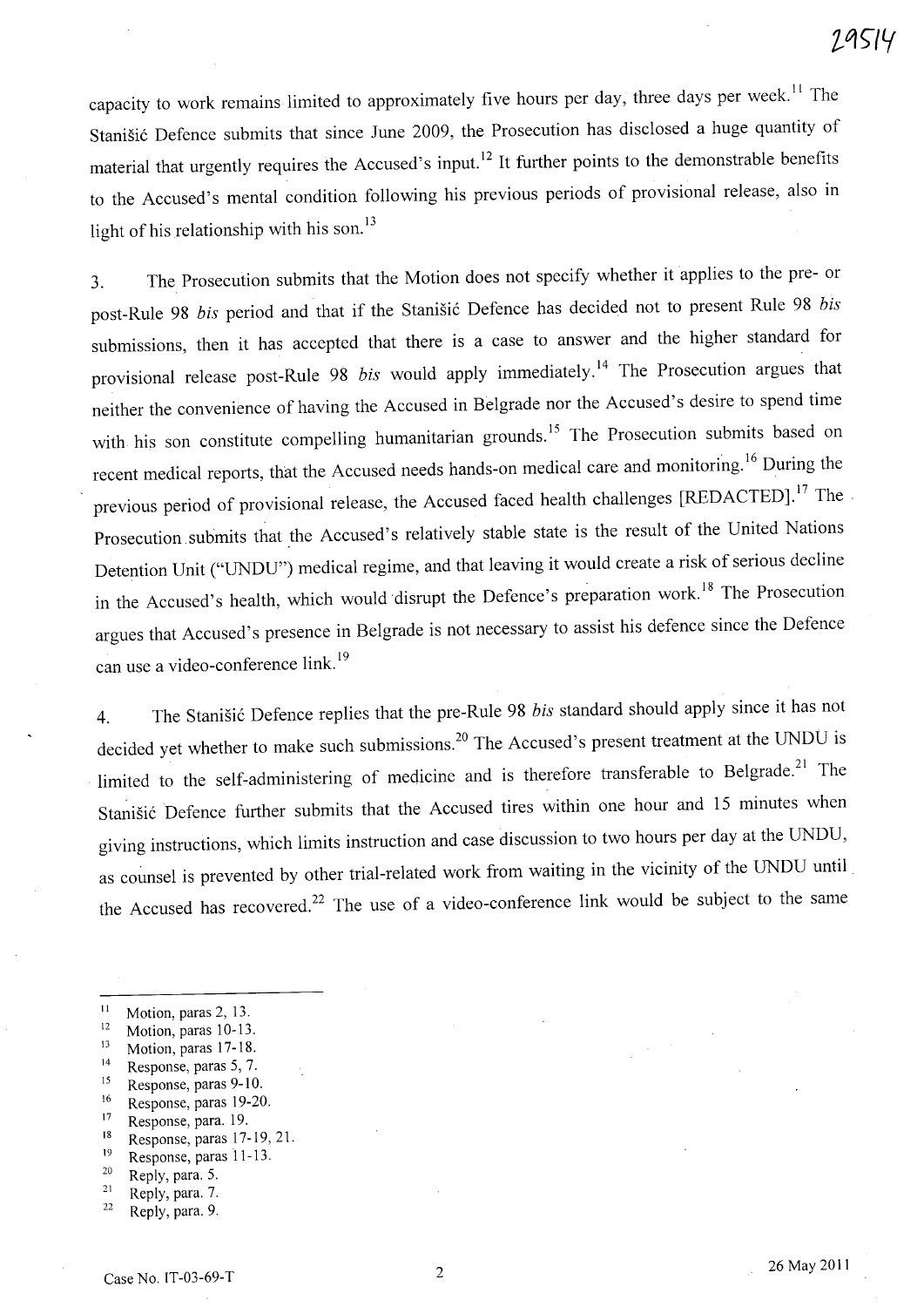capacity to work remains limited to approximately five hours per day, three days per week.<sup>11</sup> The Stanišić Defence submits that since June 2009, the Prosecution has disclosed a huge quantity of material that urgently requires the Accused's input.<sup>12</sup> It further points to the demonstrable benefits to the Accused's mental condition following his previous periods of provisional release, also in light of his relationship with his son. $^{13}$ 

3. The Prosecution submits that the Motion does not specify whether it applies to the pre- or post-Rule 98 *bis* period and that if the Stanišić Defence has decided not to present Rule 98 *bis* submissions, then it has accepted that there is a case to answer and the higher standard for provisional release post-Rule 98 *bis* would apply immediately.<sup>14</sup> The Prosecution argues that neither the convenience of having the Accused in Belgrade nor the Accused's desire to spend time with his son constitute compelling humanitarian grounds.<sup>15</sup> The Prosecution submits based on recent medical reports, that the Accused needs hands-on medical care and monitoring. 16 During the previous period of provisional release, the Accused faced health challenges [REDACTED].<sup>17</sup> The. Prosecution submits that the Accused's relatively stable state is the result of the United Nations Detention Unit ("UNDU") medical regime, and that leaving it would create a risk of serious decline in the Accused's health, which would disrupt the Defence's preparation work.<sup>18</sup> The Prosecution argues that Accused's presence in Belgrade is not necessary to assist his defence since the Defence can use a video-conference link. 19

4. The Stanišić Defence replies that the pre-Rule 98 *bis* standard should apply since it has not decided yet whether to make such submissions.<sup>20</sup> The Accused's present treatment at the UNDU is limited to the self-administering of medicine and is therefore transferable to Belgrade.<sup>21</sup> The Stanišić Defence further submits that the Accused tires within one hour and 15 minutes when giving instructions, which limits instruction and case discussion to two hours per day at the UNDU, as counsel is prevented by other trial-related work from waiting in the vicinity of the UNDU until the Accused has recovered.<sup>22</sup> The use of a video-conference link would be subject to the same

- $12$  Motion, paras 10-13.
- 13 Motion, paras 17-18.
- 14 Response, paras 5, 7.
- 15 Response, paras 9-10.
- 16 Response, paras 19-20.
- <sup>17</sup> Response, para. 19.
- 18 Response, paras 17-19, 2l.
- 19 Response, paras 11-13.
- <sup>20</sup> Reply, para. 5.
- $21$  Reply, para. 7.

 $\frac{11}{2}$  Motion, paras 2, 13.

 $22$  Reply, para. 9.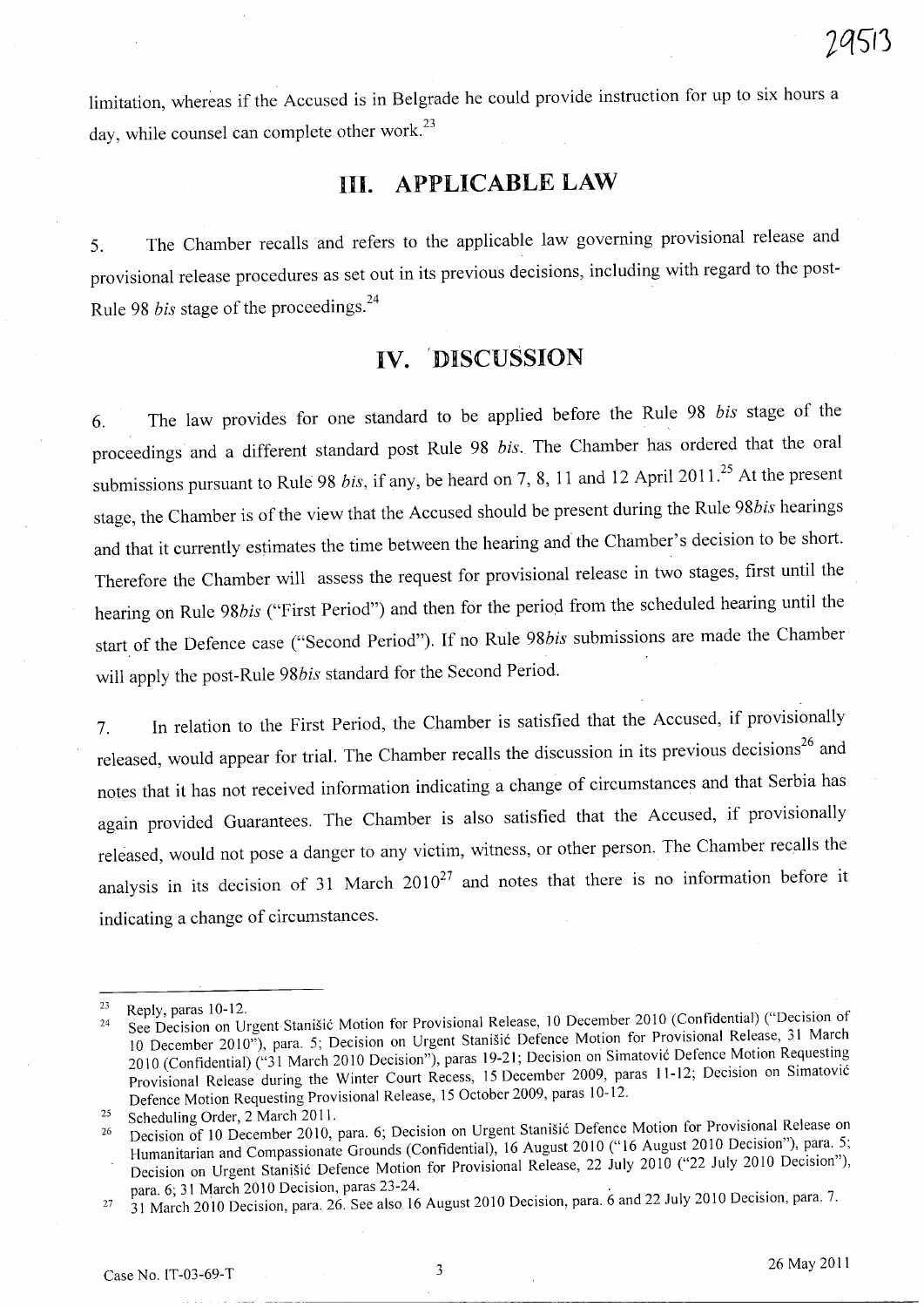limitation, whereas if the Accused is in Belgrade he could provide instruction for up to six hours a day, while counsel can complete other work.<sup>23</sup>

# **III. APPLICABLE LAW**

5. The Chamber recalls and refers to the applicable law governing provisional release and provisional release procedures as set out in its previous decisions, including with regard to the post-Rule 98 *bis* stage of the proceedings. <sup>24</sup>

# **IV. 'DISCUSSION**

6. The law provides for one standard to be applied before the Rule 98 *bis* stage of the proceedings and a different standard post Rule 98 *bis.* The Chamber has ordered that the oral submissions pursuant to Rule 98 *bis*, if any, be heard on 7, 8, 11 and 12 April 2011.<sup>25</sup> At the present stage, the Chamber is of the view that the Accused should be present during the Rule *98bis* hearings and that it currently estimates the time between the hearing and the Chamber's decision to be short. Therefore the Chamber will assess the request for provisional release in two stages, first until the hearing on Rule *98bis* ("First Period") and then for the period from the scheduled hearing until the start. of the Defence case ("Second Period"). If no Rule *98bis* submissions are made the Chamber will apply the post-Rule *98bis* standard for the Second Period.

7. In relation to the First Period, the Chamber is satisfied that the Accused, if provisionally released, would appear for trial. The Chamber recalls the discussion in its previous decisions<sup>26</sup> and notes that it has not received information indicating a change of circumstances and that Serbia has again provided Guarantees. The Chamber is also satisfied that the Accused, if provisionally released, would not pose a danger to any victim, witness, or other person. The Chamber recalls the analysis in its decision of 31 March  $2010^{27}$  and notes that there is no information before it indicating a change of circumstances.

 $23$  Reply, paras 10-12.

<sup>&</sup>lt;sup>24</sup> See Decision on Urgent Stanišić Motion for Provisional Release, 10 December 2010 (Confidential) ("Decision of 10 December 2010"), para. 5; Decision on Urgent Stanisic Defence Motion for Provisional Release, 31 March 2010 (Confidential) ("31 March 2010 Decision"), paras 19-21; Decision on Simatovic Defence Motion Requesting Provisional Release during the Winter Court Recess, 15 December 2009, paras 11-12; Decision on Simatovic Defence Motion Requesting Provisional Release, 15 October 2009, paras 10-12.

<sup>&</sup>lt;sup>25</sup> Scheduling Order, 2 March 2011.

<sup>26</sup> Decision of 10 December 2010, para. 6; Decision on Urgent Stanisic Defence Motion for Provisional Release on Humanitarian and Compassionate Grounds (Confidential), 16 August 2010 ("16 August 2010 Decision"), para. 5; Decision on Urgent Stanišić Defence Motion for Provisional Release, 22 July 2010 ("22 July 2010 Decision"), para. 6; 31 March 2010 Decision, paras 23-24. .

 $27\quad 31$  March 2010 Decision, para. 26. See also 16 August 2010 Decision, para. 6 and 22 July 2010 Decision, para.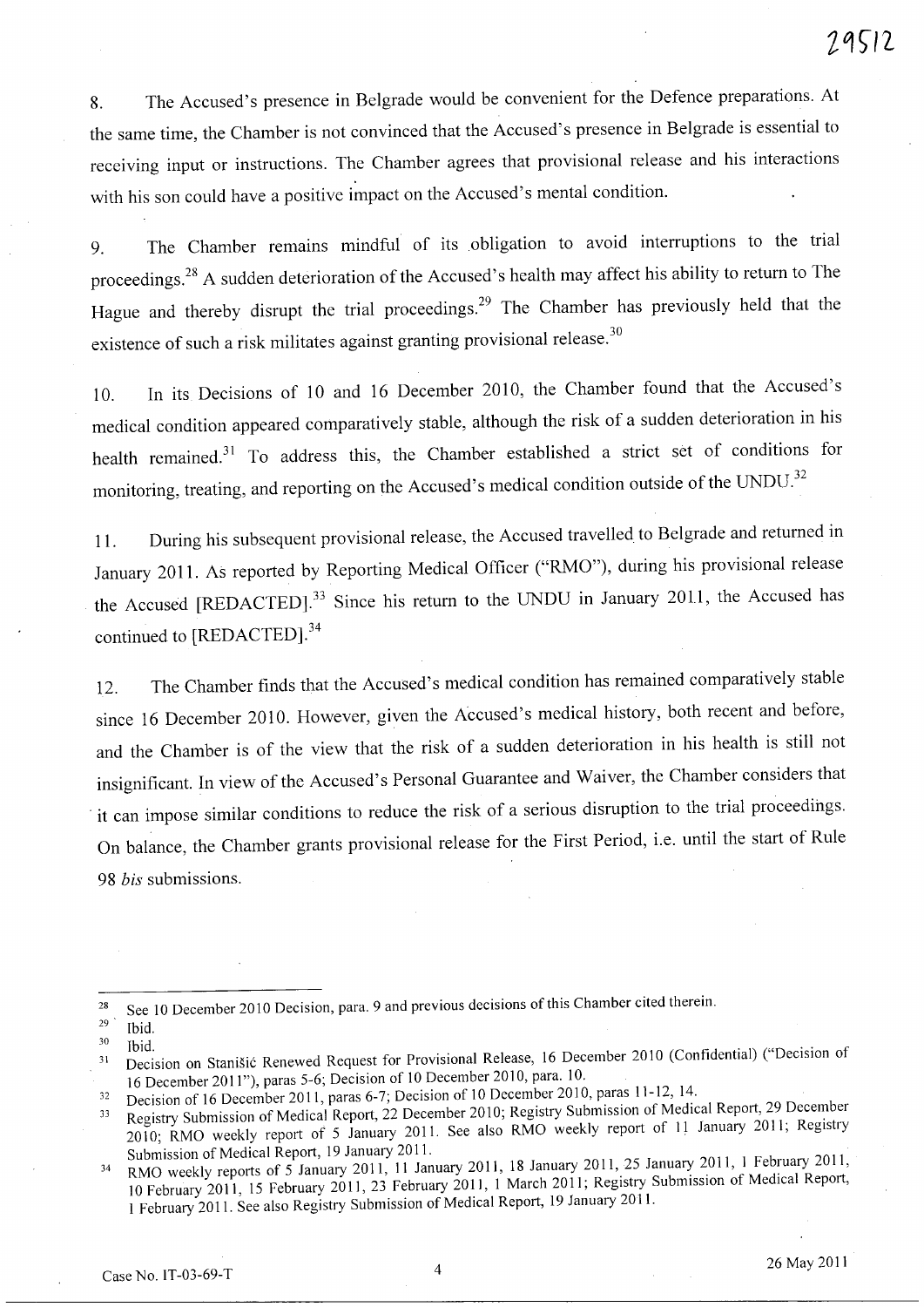8. The Accused's presence in Belgrade would be convenient for the Defence preparations. At the same time, the Chamber is not convinced that the Accused's presence in Belgrade is essential to receiving input or instructions. The Chamber agrees that provisional release and his interactions with his son could have a positive impact on the Accused's mental condition.

9. The Chamber remains mindful of its obligation to avoid interruptions to the trial proceedings. 28 A sudden deterioration of the Accused's health may affect his ability to return to The Hague and thereby disrupt the trial proceedings.<sup>29</sup> The Chamber has previously held that the existence of such a risk militates against granting provisional release.<sup>30</sup>

10. In its Decisions of 10 and 16 December 2010, the Chamber found that the Accused's medical condition appeared comparatively stable, although the risk of a sudden deterioration in his health remained.<sup>31</sup> To address this, the Chamber established a strict set of conditions for monitoring, treating, and reporting on the Accused's medical condition outside of the UNDU.<sup>32</sup>

11. During his subsequent provisional release, the Accused travelled to Belgrade and returned in January 2011. As reported by Reporting Medical Officer ("RMO"), during his provisional release the Accused [REDACTED].<sup>33</sup> Since his return to the UNDU in January 2011, the Accused has continued to [REDACTED].<sup>34</sup>

12. The Chamber finds that the Accused's medical condition has remained comparatively stable since 16 December 2010. However, given the Accused's medical history, both recent and before, and the Chamber is of the view that the risk of a sudden deterioration in his health is still not insignificant. In view of the Accused's Personal Guarantee and Waiver, the Chamber considers that . it can impose similar conditions to reduce the risk of a serious disruption to the trial proceedings. On balance, the Chamber grants provisional release for the First Period, i.e. until the start of Rule *98 bis* submissions.

<sup>&</sup>lt;sup>28</sup> See 10 December 2010 Decision, para. 9 and previous decisions of this Chamber cited therein.

 $\frac{29}{30}$  Ibid.

<sup>&</sup>lt;sup>31</sup> Decision on Stanišić Renewed Request for Provisional Release, 16 December 2010 (Confidential) ("Decision of 16 December 2011"), paras 5-6; Decision of 10 December 2010, para. 10.

<sup>&</sup>lt;sup>32</sup> Decision of 16 December 2011, paras 6-7; Decision of 10 December 2010, paras 11-12, 14.

<sup>&</sup>lt;sup>33</sup> Registry Submission of Medical Report, 22 December 2010; Registry Submission of Medical Report, 29 December 2010; RMO weekly report of 5 January 2011. See also RMO weekly report of 11 January 2011; Registry Submission of Medical Report, 19 January 2011.

<sup>&</sup>lt;sup>34</sup> RMO weekly reports of 5 January 2011, 11 January 2011, 18 January 2011, 25 January 2011, 1 February 2011, 10 February 2011, 15 February 2011, 23 February 2011, 1 March 2011; Registry Submission of Medical Report, 1 February 2011. See also Registry Submission of Medical Report, 19 January 2011.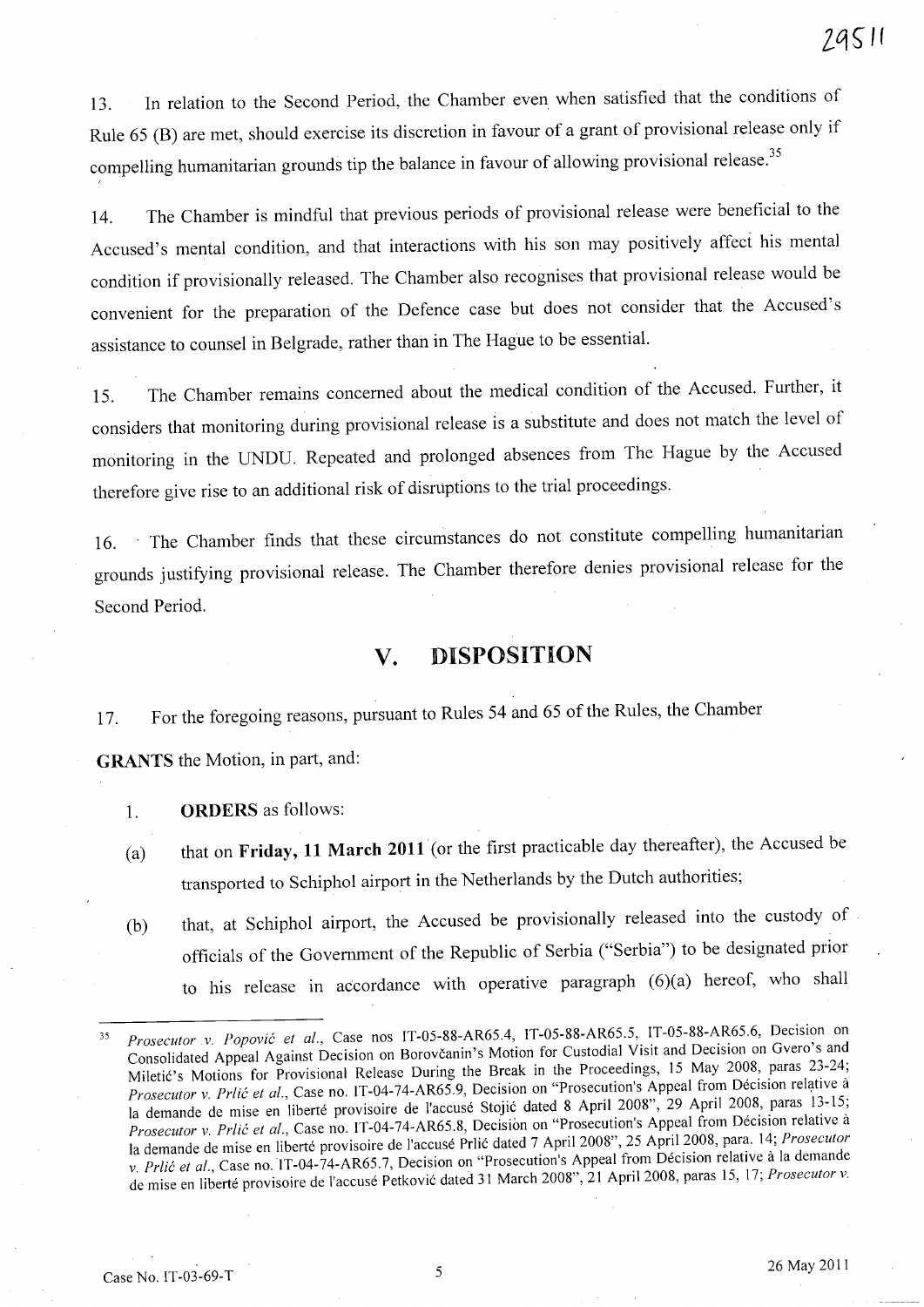13. In relation to the Second Period, the Chamber even when satisfied that the conditions of Rule 65 (B) are met, should exercise its discretion in favour of a grant of provisional release only if compelling humanitarian grounds tip the balance in favour of allowing provisional release.<sup>35</sup>

14. The Chamber is mindful that previous periods of provisional release were beneficial to the Accused's mental condition, and that interactions with his son may positively affect his mental condition if provisionally released. The Chamber also recognises that provisional release would be convenient for the preparation of the Defence case but does not consider that the Accused's assistance to counsel in Belgrade, rather than in The Hague to be essential.

15. The Chamber remains concerned about the medical condition of the Accused. Further, it considers that monitoring during provisional release is a substitute and does not match the level of monitoring in the UNDU. Repeated and prolonged absences from The Hague by the Accused therefore give rise to an additional risk of disruptions to the trial proceedings.

16. The Chamber finds that these circumstances do not constitute compelling humanitarian grounds justifying provisional release. The Chamber therefore denies provisional release for the Second Period.

# **v. DISPOSITION**

17. For the foregoing reasons, pursuant to Rules 54 and 65 of the Rules, the Chamber

**GRANTS** the Motion, in part, and:

1. **ORDERS** as follows:

- (a) that on **Friday, 11 March 2011** (or the first practicable day thereafter), the Accused be transported to Schipho1 airport in the Netherlands by the Dutch authorities;
- (b) that, at Schiphol airport, the Accused be provisionally released into the custody of officials of the Government of the Republic of Serbia ("Serbia") to be designated prior to his release in accordance with operative paragraph (6)(a) hereof, who shall

<sup>35</sup>  *Prosecutor .v. Popovic et al.,* Case nos IT-OS-88-AR6S.4, IT-OS-88-AR6S.S, IT-OS-88-AR6S.6, Decision on Consolidated Appeal Against Decision on Borovcanin's Motion for Custodial Visit and Decision on Gvero's and Miletic's Motions for Provisional Release During the Break in the Proceedings, 15 May 2008, paras 23-24; *Prosecutor v. Prlić et al., Case no. IT-04-74-AR65.9, Decision on "Prosecution's Appeal from Décision relative à* la demande de mise en liberté provisoire de l'accusé Stojić dated 8 April 2008", 29 April 2008, paras 13-15; *Prosecutor v. Prlić et al.*, Case no. IT-04-74-AR65.8, Decision on "Prosecution's Appeal from Décision relative à la demande de mise en liberte provisoire de l'accuse Prlic dated 7 April 2008", 2S April 2008, para. 14; *Prosecutor*  v. Prlic et al., Case no. 1T-04-74-AR65.7, Decision on "Prosecution's Appeal from Décision relative à la demande de mise en liberte provisoire de I'accuse Petkovic dated 31 March 2008", 21 April 2008, paras *IS,* 17; *Prosecutor v.*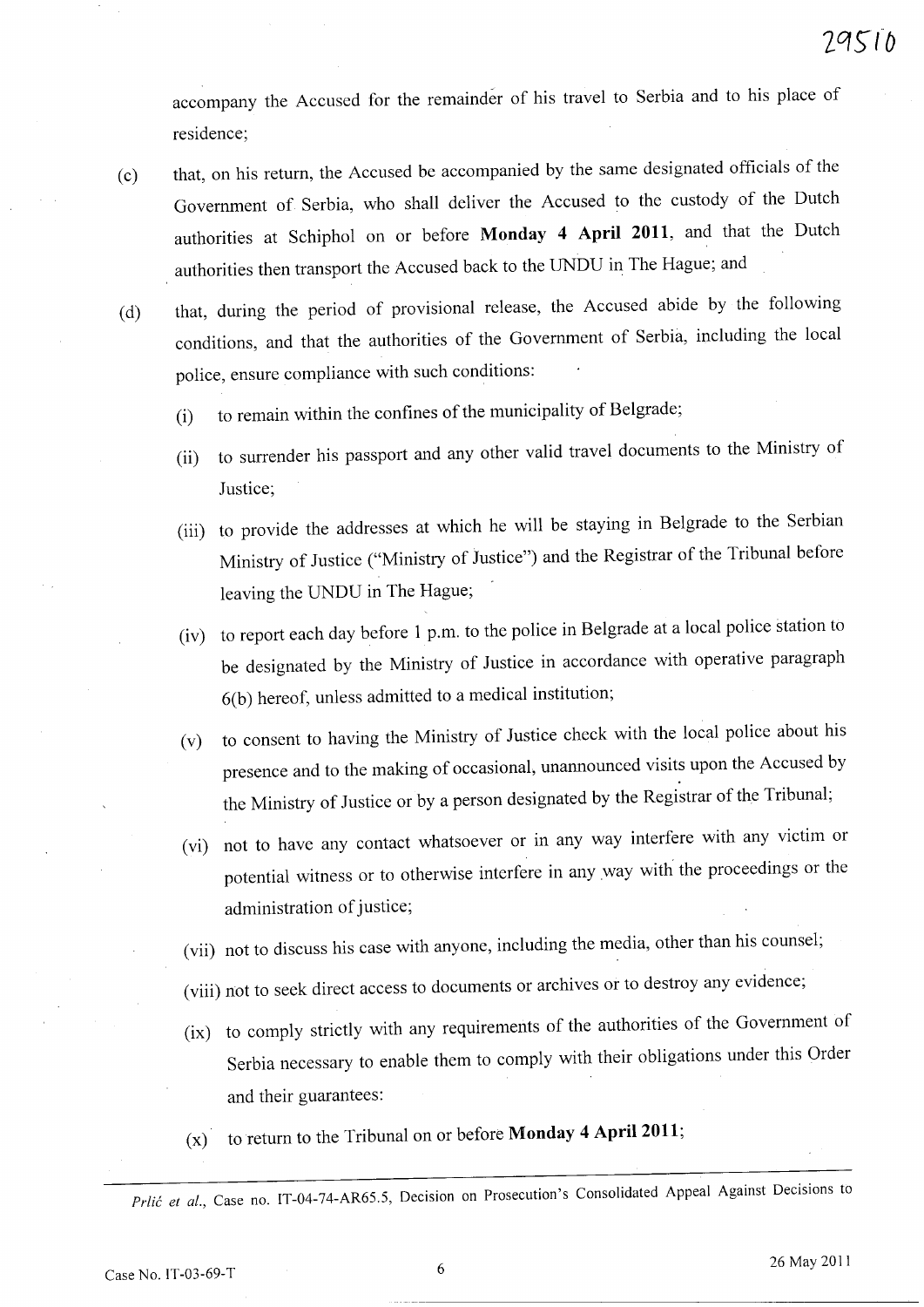accompany the Accused for the remainder of his travel to Serbia and to his place of residence;

- (c) that, on his return, the Accused be accompanied by the same designated officials of the Government of Serbia, who shall deliver the Accused to the custody of the Dutch authorities at Schiphol on or before **Monday 4 April 2011,** and that the Dutch . authorities then transport the Accused back to the UNDU in The Hague; and
- (d) that, during the period of provisional release, the Accused abide by the following conditions, and that the authorities of the Government of Serbia, including the local police, ensure compliance with such conditions:
	- (i) to remain within the confines of the municipality of Belgrade;
	- (ii) to surrender his passport and any other valid travel documents to the Ministry of Justice;
	- (iii) to provide the addresses at which he will be staying in Belgrade to the Serbian Ministry of Justice ("Ministry of Justice") and the Registrar of the Tribunal before leaving the UNDU in The Hague;
	- (iv) to report each day before 1 p.m. to the police in Belgrade at a local police station to be designated by the Ministry of Justice in accordance with operative paragrap<sup>h</sup> 6(b) hereof, unless admitted to a medical institution;
	- (v) to consent to having the Ministry of Justice check with the local police about his presence and to the making of occasional, unannounced visits upon the Accused by the Ministry of Justice or by a person designated by the Registrar of the Tribunal;
	- (vi) not to have any contact whatsoever or in any way interfere with any victim or potential witness or to otherwise interfere in any way with the proceedings or the administration of justice;
	- (vii) not to discuss his case with anyone, including the media, other than his counsel;
	- (viii) not to seek direct access to documents or archives or to destroy any evidence;
	- (ix) to comply strictly with any requirements of the authorities of the Government of Serbia necessary to enable them to comply with their obligations under this Order and their guarantees:
	- (x) to return to the Tribunal on or before **Monday 4 April 2011**;

*Prlić et al.*, Case no. IT-04-74-AR65.5, Decision on Prosecution's Consolidated Appeal Against Decisions to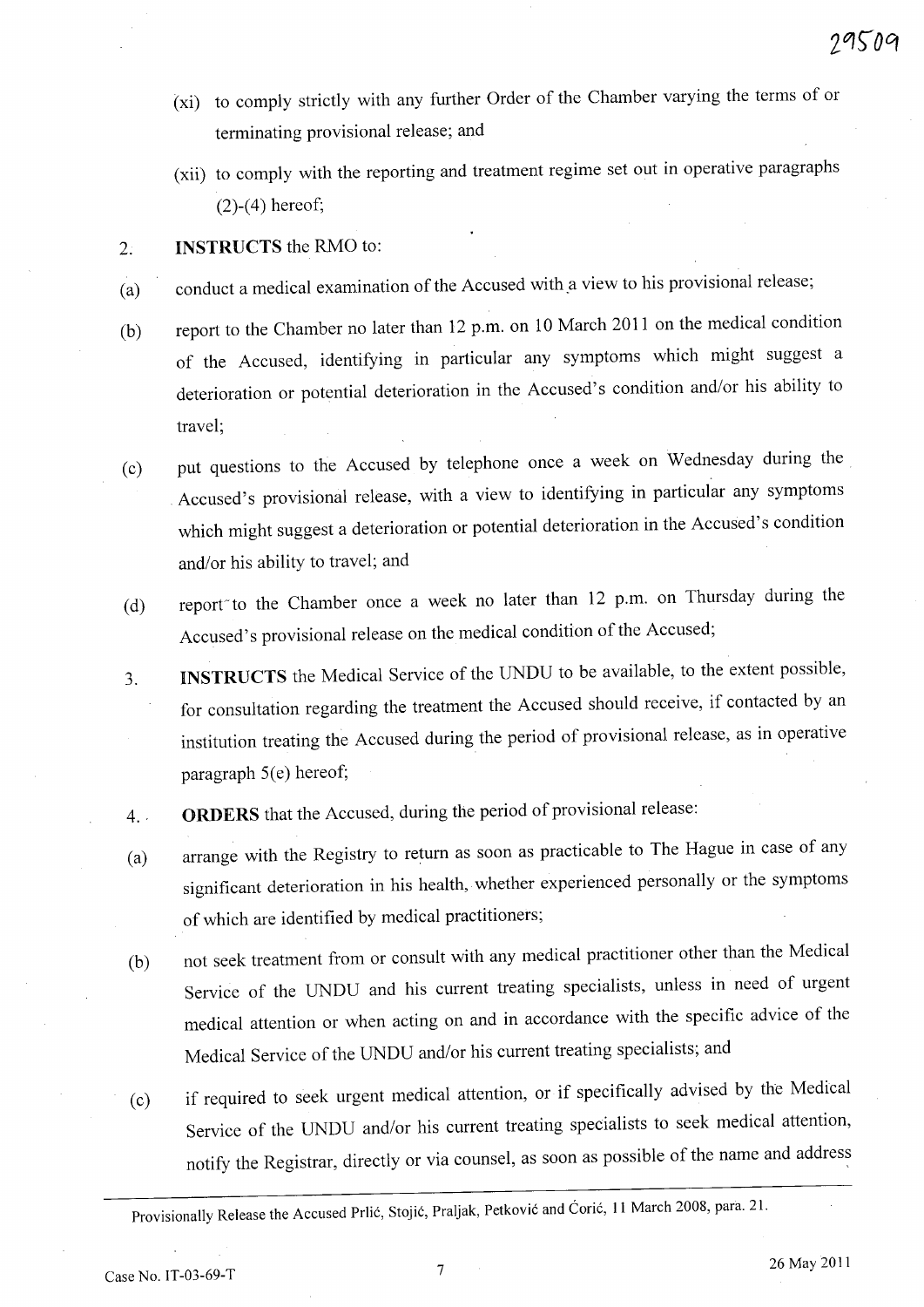- (xi) to comply strictly with any further Order of the Chamber varying the terms of or terminating provisional release; and
- (xii) to comply with the reporting and treatment regime set out in operative paragraphs (2)-(4) hereof;

### 2. **INSTRUCTS** the RMO to:

- (a) conduct a medical examination of the Accused with.a view to his provisional release;
- (b) report to the Chamber no later than 12 p.m. on 10 March 2011 on the medical condition of the Accused, identifying in particular any symptoms which might suggest a deterioration or potential deterioration in the Accused's condition and/or his ability to travel;
- ( c) put questions to the Accused by telephone once a week on Wednesday during the Accused's provisional release, with a view to identifying in particular any symptoms which might suggest a deterioration or potential deterioration in the Accused's condition and/or his ability to travel; and
- (d) report to the Chamber once a week no later than 12 p.m. on Thursday during the Accused's provisional release on the medical condition of the Accused;
- 3. INSTRUCTS the Medical Service of the UNDU to be available, to the extent possible, for consultation regarding the treatment the Accused should receive, if contacted by an institution treating the Accused during the period of provisional release, as in operative paragraph  $5(e)$  hereof;
- 4. ' **ORDERS** that the Accused, during the period of provisional release:
- (a) arrange with the Registry to return as soon as practicable to The Hague in case of any significant deterioration in his health, whether experienced personally or the symptoms of which are identified by medical practitioners;
- (b) not seek treatment from or consult with any medical practitioner other than the Medical Service of the UNDU and his current treating specialists, unless in need of urgen<sup>t</sup> medical attention or when acting on and in accordance with the specific advice of the Medical Service of the UNDU and/or his current treating specialists; and
- (c) if required to seek urgent medical attention, or if specifically advised by the Medical Service of the UNDU and/or his current treating specialists to seek medical attention, notify the Registrar, directly or via counsel, as soon as possible of the name and address

Provisionally Release the Accused Prlić, Stojić, Praljak, Petković and Ćorić, 11 March 2008, para. 21.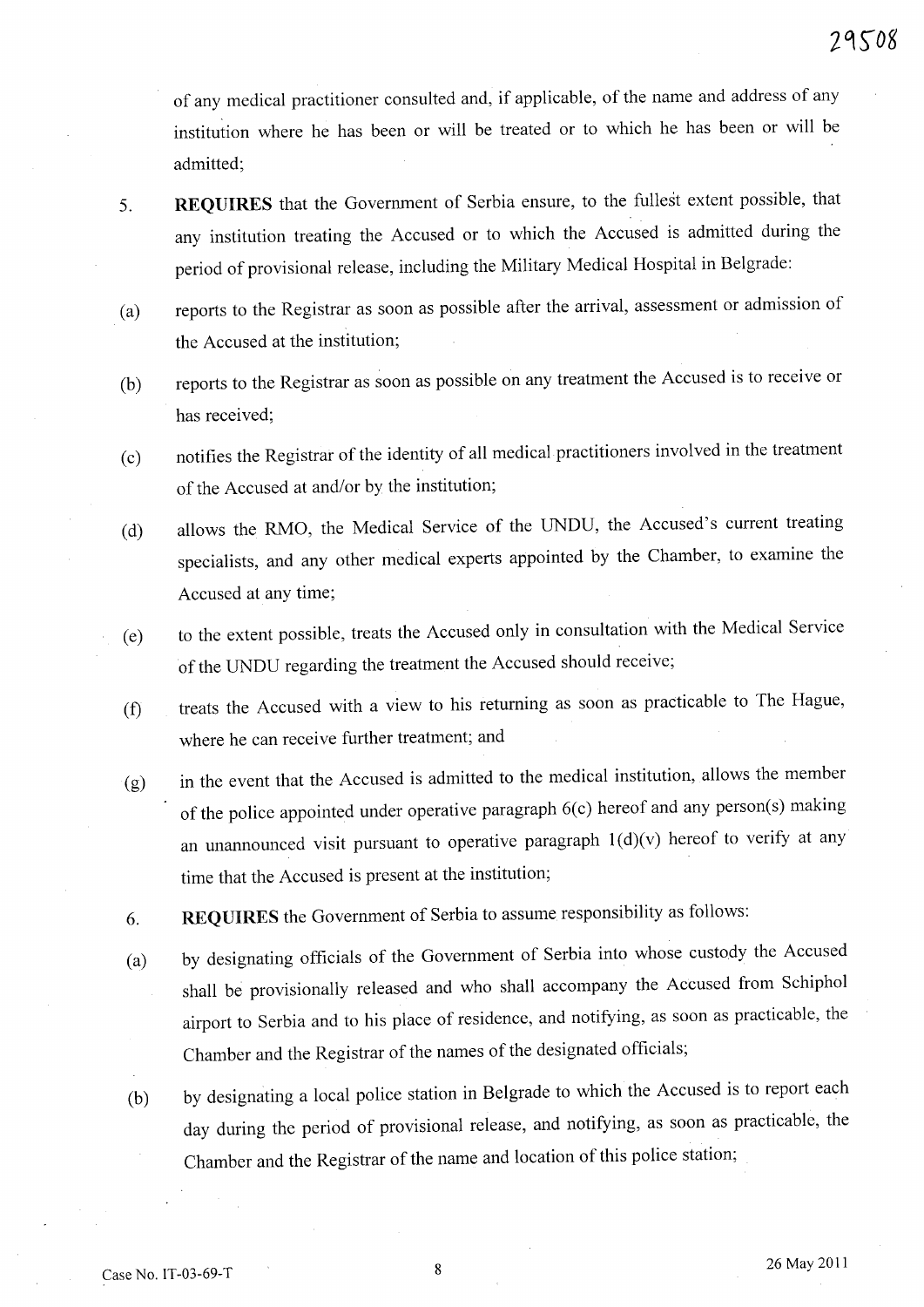of any medical practitioner consulted and, if applicable, of the name and address of any institution where he has been or will be treated or to which he has been or will be admitted;

- 5. **REQUIRES** that the Government of Serbia ensure, to the fullest extent possible, that any institution treating the Accused or to which the Accused is admitted during the period of provisional release, including the Military Medical Hospital in Belgrade:
- (a) reports to the Registrar as soon as possible after the arrival, assessment or admission of the Accused at the institution;
- (b) reports to the Registrar as soon as possible on any treatment the Accused is to receive or has received;
- (c) notifies the Registrar of the identity of all medical practitioners involved in the treatment of the Accused at and/or by the institution;
- (d) allows the RMO, the Medical Service of the UNDU, the Accused's current treating specialists, and any other medical experts appointed by the Chamber, to examine the Accused at any time;
- (e) to the extent possible, treats the Accused only in consultation with the Medical Service of the UNDU regarding the treatment the Accused should receive;
- (f) treats the Accused with a view to his returning as soon as practicable to The Hague, where he can receive further treatment; and
- $(g)$  in the event that the Accused is admitted to the medical institution, allows the member of the police appointed under operative paragraph 6(c) hereof and any person(s) making an unannounced visit pursuant to operative paragraph  $1(d)(v)$  hereof to verify at any time that the Accused is present at the institution;
- 6. **REQUIRES** the Government of Serbia to assume responsibility as follows:
- (a) by designating officials of the Government of Serbia into whose custody the Accused shall be provisionally released and who shall accompany the Accused from Schiphol airport to Serbia and to his place of residence, and notifying, as soon as practicable, the Chamber and the Registrar of the names of the designated officials;
- (b) by designating a local police station in Belgrade to which the Accused is to report each day during the period of provisional release, and notifying, as soon as practicable, the Chamber and the Registrar of the name and location of this police station;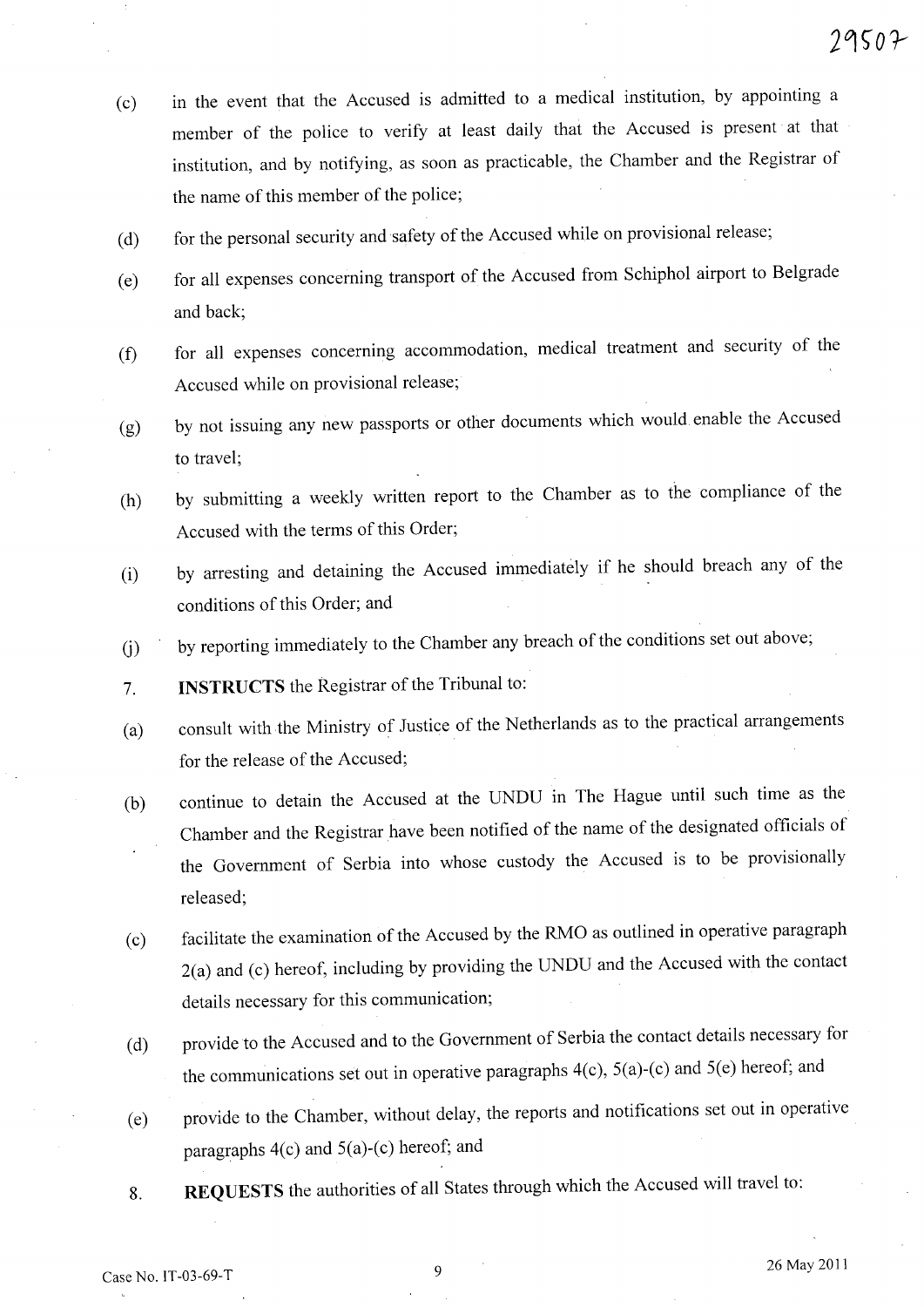- (c) in the event that the Accused is admitted to a medical institution, by appointing a member of the police to verify at least daily that the Accused is present at that institution, and by notifying, as soon as practicable, the Chamber and the Registrar of the name of this member of the police;
- (d) for the personal security and safety of the Accused while on provisional release;
- (e) for all expenses concerning transport of the Accused from Schiphol airport to Belgrade and back;
- (f) for all expenses concerning accommodation, medical treatment and security of the Accused while on provisional release;
- (g) by not issuing any new passports or other documents which would. enable the Accused to travel;
- (h) by submitting a weekly written report to the Chamber as to the compliance of the Accused with the terms of this Order;
- (i) by arresting and detaining the Accused immediatdy if he should breach any of the conditions of this Order; and
- (j) by reporting immediately to the Chamber any breach of the conditions set out above;
- 7. **INSTRUCTS** the Registrar of the Tribunal to:
- (a) consult with the Ministry of Justice of the Netherlands as to the practical arrangements for the release of the Accused;
- (b) continue to detain the Accused at the UNDU in The Hague until such time as the Chamber and the Registrar have been notified of the name of the designated officials of the Government of Serbia into whose custody the Accused is to be provisionally released;
- (c) facilitate the examination of the Accused by the RMO as outlined in operative paragraph 2(a) and (c) hereof, including by providing the UNDU and the Accused with the contact details necessary for this communication;
- (d) provide to the Accused and to the Government of Serbia the contact details necessary for the communications set out in operative paragraphs 4(c), 5(a)-(c) and 5(e) hereof; and
- (e) provide to the Chamber, without delay, the reports and notifications set out in operative paragraphs  $4(c)$  and  $5(a)-(c)$  hereof; and
- 8. **REQUESTS** the authorities of all States through which the Accused will travel to: